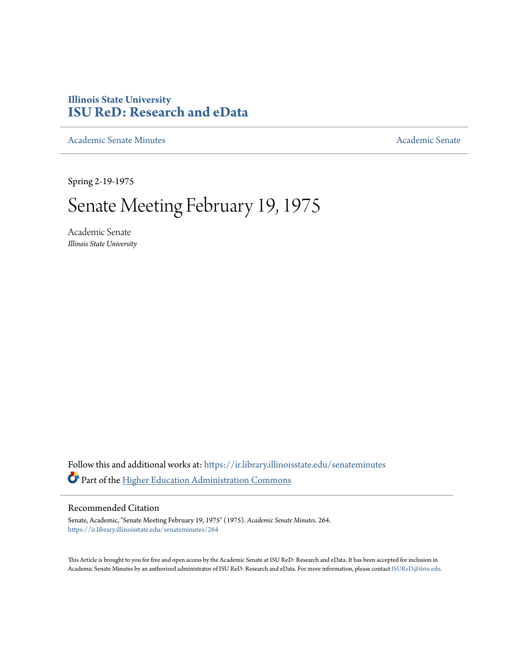# **Illinois State University [ISU ReD: Research and eData](https://ir.library.illinoisstate.edu?utm_source=ir.library.illinoisstate.edu%2Fsenateminutes%2F264&utm_medium=PDF&utm_campaign=PDFCoverPages)**

[Academic Senate Minutes](https://ir.library.illinoisstate.edu/senateminutes?utm_source=ir.library.illinoisstate.edu%2Fsenateminutes%2F264&utm_medium=PDF&utm_campaign=PDFCoverPages) [Academic Senate](https://ir.library.illinoisstate.edu/senate?utm_source=ir.library.illinoisstate.edu%2Fsenateminutes%2F264&utm_medium=PDF&utm_campaign=PDFCoverPages) Academic Senate

Spring 2-19-1975

# Senate Meeting February 19, 1975

Academic Senate *Illinois State University*

Follow this and additional works at: [https://ir.library.illinoisstate.edu/senateminutes](https://ir.library.illinoisstate.edu/senateminutes?utm_source=ir.library.illinoisstate.edu%2Fsenateminutes%2F264&utm_medium=PDF&utm_campaign=PDFCoverPages) Part of the [Higher Education Administration Commons](http://network.bepress.com/hgg/discipline/791?utm_source=ir.library.illinoisstate.edu%2Fsenateminutes%2F264&utm_medium=PDF&utm_campaign=PDFCoverPages)

#### Recommended Citation

Senate, Academic, "Senate Meeting February 19, 1975" (1975). *Academic Senate Minutes*. 264. [https://ir.library.illinoisstate.edu/senateminutes/264](https://ir.library.illinoisstate.edu/senateminutes/264?utm_source=ir.library.illinoisstate.edu%2Fsenateminutes%2F264&utm_medium=PDF&utm_campaign=PDFCoverPages)

This Article is brought to you for free and open access by the Academic Senate at ISU ReD: Research and eData. It has been accepted for inclusion in Academic Senate Minutes by an authorized administrator of ISU ReD: Research and eData. For more information, please contact [ISUReD@ilstu.edu.](mailto:ISUReD@ilstu.edu)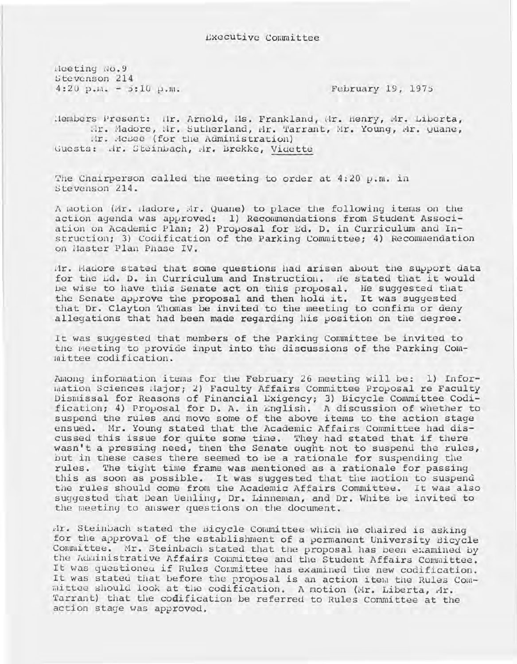l-leeting No.9 Stevenson 214  $4:20$  p.m.  $-5:10$  p.m.

February 19, 1975

Hembers Present: Hr. Arnold, Hs. Frankland, Hr. Henry, Mr. Liberta, IIr. Madore, Mr. Sutherland, Mr. Tarrant, Mr. Young, Ar. Quane, Mr. Acsee (for the Administration) Guests: Hr. Steinbach, Hr. Brekke, Vidette

The Chairperson called the meeting to order at  $4:20$  p.m. in Stevenson 214.

A motion (Mr. Hadore, Mr. Quane) to place the following items on the action agenda was approved: 1) Reconunendations from Student Association on Academic Plan; 2) Proposal for Ed. D. in Curriculum and Instruction; 3) Codification of the Parking Committee; 4) Recommendation on Master Plan Phase IV.

tir. Hadore stated that some questions had arisen about the support data for the Ld. D. in Curriculum and Instruction. de stated that it would be wise to have this Senate act on this proposal. He suggested that the Senate approve the proposal and then hold it. It was suggested that Dr. Clayton Thomas be invited to the meeting to confirm or deny allegations that had been made regarding his position on the degree.

It was suggested that members of the Parking Committee be invited to the meeting to provide input into the discussions of the Parking Com $m$ ittee codification.

Among information items for the February 26 meeting will be: 1) Information Sciences Major; 2) Faculty Affairs Committee Proposal re Faculty Dismissal for Reasons of Financial Exigency; 3) Bicycle Committee Codification; 4) Proposal for D. A. in English. A discussion of whether to suspend the rules and move some of the above items to the action stage ensued. Hr. Young stated that the Academic Affairs Committee had discussed this issue for quite some time. They had stated that if there wasn't a pressing need, then the Senate ought not to suspend the rules, but in these cases there seemed to be a rationale for suspending the rules. The tight time frame was mentioned as a rationale for passing this as soon as possible. It was suggested that the motion to suspend the rules should come from the Academic Affairs Committee. It was also suggested that Dean Uehling, Dr. Linneman, and Dr. White be invited to the meeting to answer questions on the document.

dr. Steinuach stated the Bicycle Committee which he chaired is asking for the approval of the establishment of a permanent University Bicycle Conmittee. Mr. Steinbach stated that the proposal has been examined by the Administrative Affairs Committee and the Student Affairs Committee. It was questioneu if Rules Comnittee has examined the new codification. It was stated that before the proposal is an action item the Rules Committee should look at the codification. A motion (Mr. Liberta, Ar. Tarrant) that the codification be referred to Rules Committee at the action stage was approved.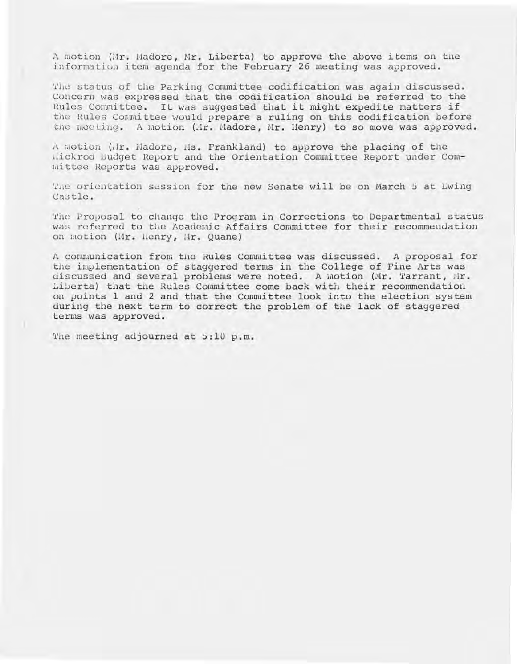A motion (Mr. Madore, Mr. Liberta) to approve the above items on the information item agenda for the February 26 meeting was approved.

'l'lie status of the Parking Committee codification was again discussed. Concern was expressed that the codification should be referred to the Rules Committee. It was suggested that it might expedite matters if the Rules Conmittee would prepare a ruling on this codification before the meeting. A motion (Ar. Madore, Mr. Henry) to so move was approved.

A Motion (dr. Madore, Ms. Frankland) to approve the placing of the llickrod Budget Report and the Orientation Committee Report under Committee Reports was approved.

The orientation session for the new Senate will be on March 5 at Ewing Castle.

The Proposal to change the Program in Corrections to Departmental status was referred to the Academic Affairs Committee for their recommendation on motion (Mr. Henry, Mr. Quane)

A communication from the Rules Committee was discussed. A proposal for the implernentation of staggered terms in the College of Fine Arts was discussed and several problems were noted. A laotion (Mr. Tarrant, Mr. Liberta) that the Rules Committee come back with their recommendation on points 1 and 2 and that the Committee look into the election system during the next term to correct the problem of the lack of staggered terms was approved.

The meeting adjourned at 5:10 p.m.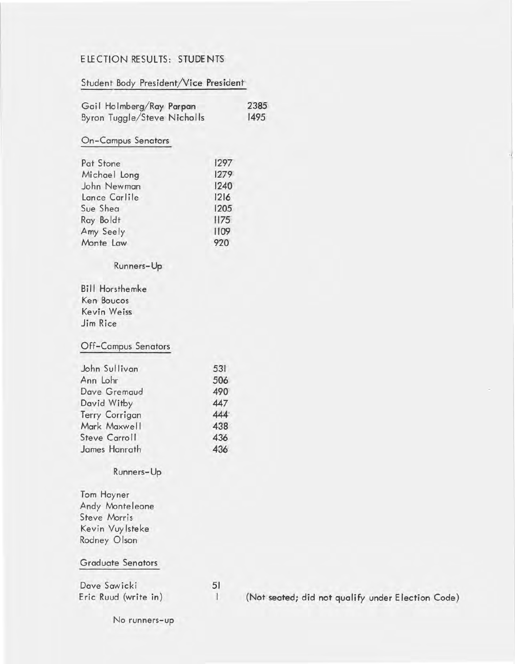# E LE CTION RE SULTS: STUDENTS

# Student Body President/Vice President·

| Gail Holmberg/Ray Parpan    |      | 2385 |
|-----------------------------|------|------|
| Byron Tuggle/Steve Nicholls |      | 1495 |
| <b>On-Campus Senators</b>   |      |      |
| Pat Stone                   | 1297 |      |
| Michael Long                | 1279 |      |
| John Newman                 | 1240 |      |
| Lance Carlile               | 2 6  |      |
| Sue Shea                    | 1205 |      |
| Ray Boldt                   | 1175 |      |
| Amy Seely                   | 1109 |      |
| Monte Law                   | 920  |      |
| Runners-Up                  |      |      |
| <b>Bill Horsthemke</b>      |      |      |
| Ken Boucos                  |      |      |
| Kevin Weiss                 |      |      |
| Jim Rice                    |      |      |
| <b>Off-Campus Senators</b>  |      |      |
| John Sullivan               | 531  |      |
| Ann Lohr                    | 506  |      |
| Dave Gremaud                | 490  |      |
| David Witby                 | 447  |      |
| Terry Corrigan              | 444  |      |
| Mark Maxwell                | 438  |      |
| <b>Steve Carroll</b>        | 436  |      |

# Runners-Up

Tom Hayner Andy Monteleone Steve Morris Kevin Vuylsteke Rodney Olson

James Hanrath

## Graduate Senators

Dave Sawicki Eric Ruud (write in) 51

436

I (Not seated; did not qualify under Election Code)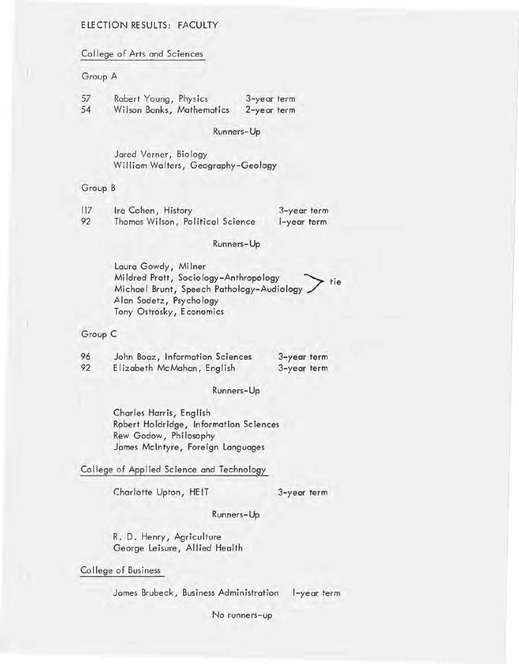## ELECTION RESULTS: FACULTY

College of Arts and Sciences

#### Group A

| 57 | Robert Young, Physics     | 3-year term |
|----|---------------------------|-------------|
| 54 | Wilson Banks, Mathematics | 2-year term |

#### Runners-Up

Jared Verner, Biology William Walters, Geography-Geology

#### Group B

| 117 | Ira Cohen, History               | 3-year term |
|-----|----------------------------------|-------------|
| 92  | Thomas Wilson, Political Science | l-year term |

#### Runners-Up

Laura Gowdy, Mi Iner Mildred Pratt, Sociology-Anthropology  $\rightarrow$  tie Michael Brunt, Speech Pathology-Audiology Alan Sodetz, Psychology Tony Ostrosky, Economics

#### Group C

| 96 | John Boaz, Information Sciences | 3-year term |
|----|---------------------------------|-------------|
| 92 | Elizabeth McMahan, English      | 3-year term |

#### Runners-Up

Charles Harris, English Robert Holdridge, Information Sciences Rew Godow, Philosophy James McIntyre, Foreign Languages

College of Applied Science and Technology

Charlotte Upton, HE IT

3-year term

#### Runners-Up

R. D. Henry, Agriculture George Leisure, Allied Health

College of Business

James Brubeck, Business Administration l-year term

No runners-up